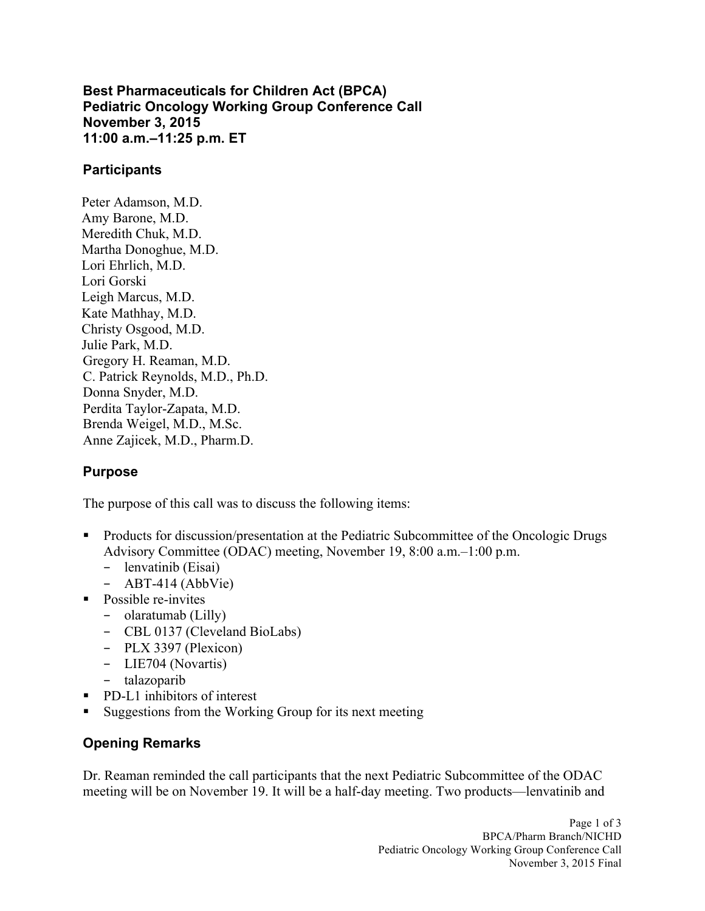**Best Pharmaceuticals for Children Act (BPCA) Pediatric Oncology Working Group Conference Call 11:00 a.m.–11:25 p.m. ET November 3, 2015** 

#### **Participants**

 Lori Gorski Peter Adamson, M.D. Amy Barone, M.D. Meredith Chuk, M.D. Martha Donoghue, M.D. Lori Ehrlich, M.D. Leigh Marcus, M.D. Kate Mathhay, M.D. Christy Osgood, M.D. Julie Park, M.D. Gregory H. Reaman, M.D. C. Patrick Reynolds, M.D., Ph.D. Donna Snyder, M.D. Perdita Taylor-Zapata, M.D. Brenda Weigel, M.D., M.Sc. Anne Zajicek, M.D., Pharm.D.

### **Purpose**

The purpose of this call was to discuss the following items:

- Products for discussion/presentation at the Pediatric Subcommittee of the Oncologic Drugs Advisory Committee (ODAC) meeting, November 19, 8:00 a.m.–1:00 p.m.
	- − lenvatinib (Eisai)
	- − ABT-414 (AbbVie)
- Possible re-invites
	- − olaratumab (Lilly)
	- − CBL 0137 (Cleveland BioLabs)
	- − PLX 3397 (Plexicon)
	- − LIE704 (Novartis)
	- − talazoparib
- PD-L1 inhibitors of interest
- Suggestions from the Working Group for its next meeting

# **Opening Remarks**

 Dr. Reaman reminded the call participants that the next Pediatric Subcommittee of the ODAC meeting will be on November 19. It will be a half-day meeting. Two products—lenvatinib and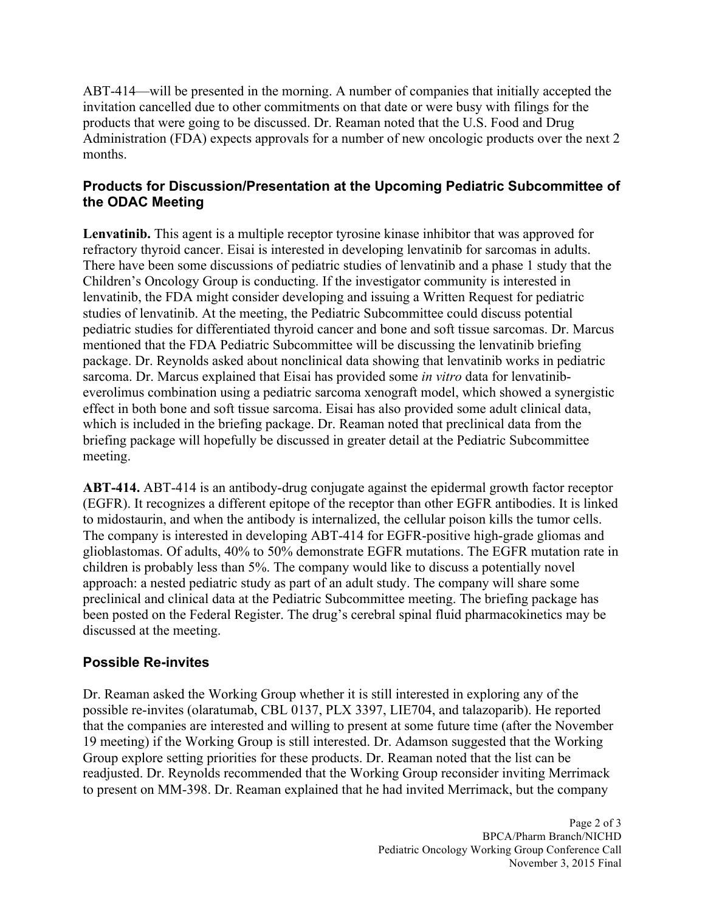invitation cancelled due to other commitments on that date or were busy with filings for the Administration (FDA) expects approvals for a number of new oncologic products over the next 2 ABT-414—will be presented in the morning. A number of companies that initially accepted the products that were going to be discussed. Dr. Reaman noted that the U.S. Food and Drug months.

### **Products for Discussion/Presentation at the Upcoming Pediatric Subcommittee of the ODAC Meeting**

 **Lenvatinib.** This agent is a multiple receptor tyrosine kinase inhibitor that was approved for There have been some discussions of pediatric studies of lenvatinib and a phase 1 study that the Children's Oncology Group is conducting. If the investigator community is interested in lenvatinib, the FDA might consider developing and issuing a Written Request for pediatric studies of lenvatinib. At the meeting, the Pediatric Subcommittee could discuss potential pediatric studies for differentiated thyroid cancer and bone and soft tissue sarcomas. Dr. Marcus mentioned that the FDA Pediatric Subcommittee will be discussing the lenvatinib briefing package. Dr. Reynolds asked about nonclinical data showing that lenvatinib works in pediatric sarcoma. Dr. Marcus explained that Eisai has provided some *in vitro* data for lenvatinib- everolimus combination using a pediatric sarcoma xenograft model, which showed a synergistic which is included in the briefing package. Dr. Reaman noted that preclinical data from the briefing package will hopefully be discussed in greater detail at the Pediatric Subcommittee refractory thyroid cancer. Eisai is interested in developing lenvatinib for sarcomas in adults. effect in both bone and soft tissue sarcoma. Eisai has also provided some adult clinical data, meeting.

 **ABT-414.** ABT-414 is an antibody-drug conjugate against the epidermal growth factor receptor (EGFR). It recognizes a different epitope of the receptor than other EGFR antibodies. It is linked The company is interested in developing ABT-414 for EGFR-positive high-grade gliomas and preclinical and clinical data at the Pediatric Subcommittee meeting. The briefing package has to midostaurin, and when the antibody is internalized, the cellular poison kills the tumor cells. glioblastomas. Of adults, 40% to 50% demonstrate EGFR mutations. The EGFR mutation rate in children is probably less than 5%. The company would like to discuss a potentially novel approach: a nested pediatric study as part of an adult study. The company will share some been posted on the Federal Register. The drug's cerebral spinal fluid pharmacokinetics may be discussed at the meeting.

### **Possible Re-invites**

 Dr. Reaman asked the Working Group whether it is still interested in exploring any of the possible re-invites (olaratumab, CBL 0137, PLX 3397, LIE704, and talazoparib). He reported that the companies are interested and willing to present at some future time (after the November Group explore setting priorities for these products. Dr. Reaman noted that the list can be 19 meeting) if the Working Group is still interested. Dr. Adamson suggested that the Working readjusted. Dr. Reynolds recommended that the Working Group reconsider inviting Merrimack to present on MM-398. Dr. Reaman explained that he had invited Merrimack, but the company